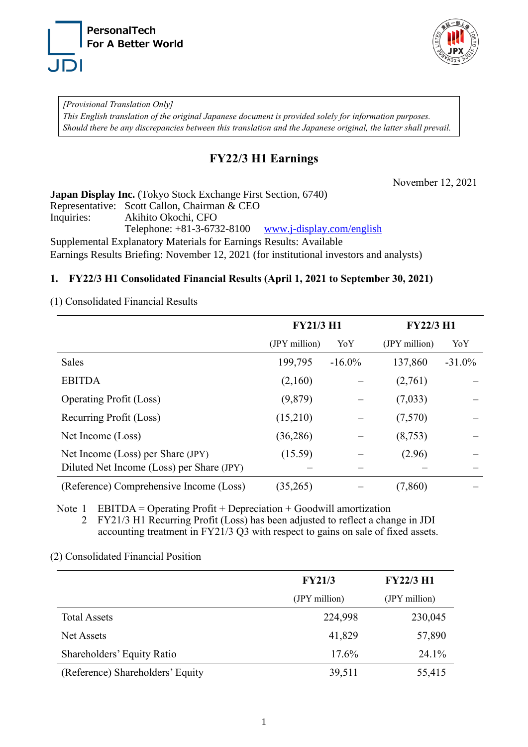



*[Provisional Translation Only] This English translation of the original Japanese document is provided solely for information purposes. Should there be any discrepancies between this translation and the Japanese original, the latter shall prevail.*

# **FY22/3 H1 Earnings**

November 12, 2021

**Japan Display Inc.** (Tokyo Stock Exchange First Section, 6740) Representative: Scott Callon, Chairman & CEO Inquiries: Akihito Okochi, CFO Telephone: +81-3-6732-8100 [www.j-display.com/english](http://www.j-display.com/english) Supplemental Explanatory Materials for Earnings Results: Available Earnings Results Briefing: November 12, 2021 (for institutional investors and analysts)

## **1. FY22/3 H1 Consolidated Financial Results (April 1, 2021 to September 30, 2021)**

(1) Consolidated Financial Results

|                                           | <b>FY21/3 H1</b> |           | <b>FY22/3 H1</b> |           |
|-------------------------------------------|------------------|-----------|------------------|-----------|
|                                           | (JPY million)    | YoY       | (JPY million)    | YoY       |
| Sales                                     | 199,795          | $-16.0\%$ | 137,860          | $-31.0\%$ |
| <b>EBITDA</b>                             | (2,160)          |           | (2,761)          |           |
| <b>Operating Profit (Loss)</b>            | (9,879)          |           | (7,033)          |           |
| Recurring Profit (Loss)                   | (15,210)         |           | (7,570)          |           |
| Net Income (Loss)                         | (36, 286)        |           | (8,753)          |           |
| Net Income (Loss) per Share (JPY)         | (15.59)          |           | (2.96)           |           |
| Diluted Net Income (Loss) per Share (JPY) |                  |           |                  |           |
| (Reference) Comprehensive Income (Loss)   | (35,265)         |           | (7, 860)         |           |

Note 1 EBITDA = Operating Profit + Depreciation + Goodwill amortization

2 FY21/3 H1 Recurring Profit (Loss) has been adjusted to reflect a change in JDI accounting treatment in FY21/3 Q3 with respect to gains on sale of fixed assets.

(2) Consolidated Financial Position

|                                  | <b>FY21/3</b> | <b>FY22/3 H1</b> |
|----------------------------------|---------------|------------------|
|                                  | (JPY million) | (JPY million)    |
| <b>Total Assets</b>              | 224,998       | 230,045          |
| <b>Net Assets</b>                | 41,829        | 57,890           |
| Shareholders' Equity Ratio       | 17.6%         | 24.1%            |
| (Reference) Shareholders' Equity | 39,511        | 55,415           |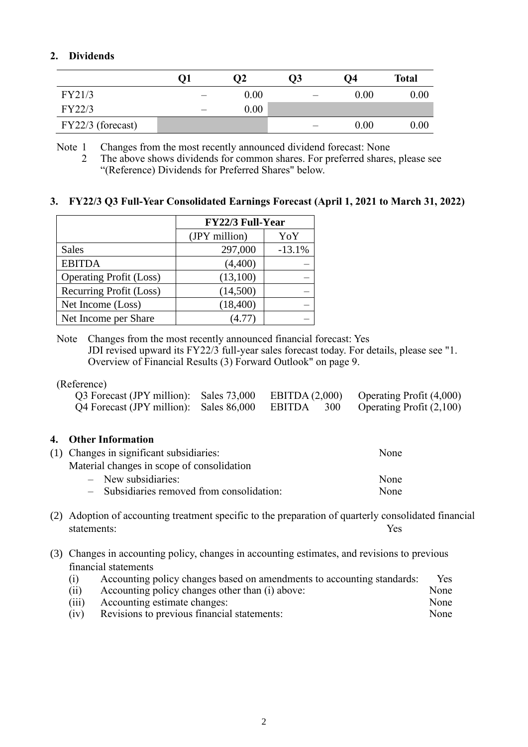# **2. Dividends**

|                     | Ο2   | Ο3 | Ο4   | <b>Total</b> |
|---------------------|------|----|------|--------------|
| FY21/3              | 0.00 |    | 0.00 | 0.00         |
| FY22/3              | 0.00 |    |      |              |
| $FY22/3$ (forecast) |      |    | 0.00 | $0.00\,$     |

Note 1 Changes from the most recently announced dividend forecast: None

### **3. FY22/3 Q3 Full-Year Consolidated Earnings Forecast (April 1, 2021 to March 31, 2022)**

|                                | <b>FY22/3 Full-Year</b> |          |  |
|--------------------------------|-------------------------|----------|--|
|                                | (JPY million)           | YoY      |  |
| <b>Sales</b>                   | 297,000                 | $-13.1%$ |  |
| <b>EBITDA</b>                  | (4,400)                 |          |  |
| <b>Operating Profit (Loss)</b> | (13,100)                |          |  |
| Recurring Profit (Loss)        | (14,500)                |          |  |
| Net Income (Loss)              | (18, 400)               |          |  |
| Net Income per Share           | (4.77)                  |          |  |

Note Changes from the most recently announced financial forecast: Yes JDI revised upward its FY22/3 full-year sales forecast today. For details, please see "1. Overview of Financial Results (3) Forward Outlook" on page 9.

#### (Reference)

| Q3 Forecast (JPY million): Sales 73,000 EBITDA (2,000) Operating Profit (4,000) |  |                          |
|---------------------------------------------------------------------------------|--|--------------------------|
| Q4 Forecast (JPY million): Sales 86,000 EBITDA 300                              |  | Operating Profit (2,100) |

#### **4. Other Information**

|  | (1) Changes in significant subsidiaries:   | None |
|--|--------------------------------------------|------|
|  | Material changes in scope of consolidation |      |
|  | $-$ New subsidiaries:                      | None |
|  | - Subsidiaries removed from consolidation: | None |

- (2) Adoption of accounting treatment specific to the preparation of quarterly consolidated financial statements: Yes
- (3) Changes in accounting policy, changes in accounting estimates, and revisions to previous financial statements

| (i)   | Accounting policy changes based on amendments to accounting standards: | Yes: |
|-------|------------------------------------------------------------------------|------|
| (ii)  | Accounting policy changes other than (i) above:                        | None |
| (iii) | Accounting estimate changes:                                           | None |
| (iv)  | Revisions to previous financial statements:                            | None |

<sup>2</sup> The above shows dividends for common shares. For preferred shares, please see "(Reference) Dividends for Preferred Shares" below.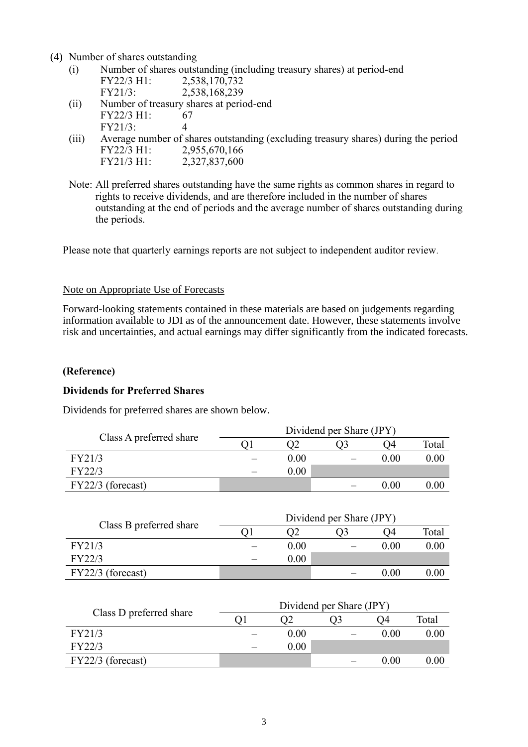(4) Number of shares outstanding

- (i) Number of shares outstanding (including treasury shares) at period-end FY22/3 H1: 2,538,170,732<br>FY21/3: 2,538,168,239 FY21/3: 2,538,168,239
- (ii) Number of treasury shares at period-end FY22/3 H1: 67<br>FY21/3: 4  $FY21/3:$
- (iii) Average number of shares outstanding (excluding treasury shares) during the period FY22/3 H1: 2,955,670,166<br>FY21/3 H1: 2.327.837.600 FY21/3 H1: 2,327,837,600
- Note: All preferred shares outstanding have the same rights as common shares in regard to rights to receive dividends, and are therefore included in the number of shares outstanding at the end of periods and the average number of shares outstanding during the periods.

Please note that quarterly earnings reports are not subject to independent auditor review.

#### Note on Appropriate Use of Forecasts

Forward-looking statements contained in these materials are based on judgements regarding information available to JDI as of the announcement date. However, these statements involve risk and uncertainties, and actual earnings may differ significantly from the indicated forecasts.

#### **(Reference)**

#### **Dividends for Preferred Shares**

Dividends for preferred shares are shown below.

| Class A preferred share | Dividend per Share (JPY) |  |      |          |  |
|-------------------------|--------------------------|--|------|----------|--|
|                         |                          |  | - 14 | Total    |  |
| FY21/3                  | 0.00                     |  | 0.00 | $0.00\,$ |  |
| FY22/3                  | $0.00\,$                 |  |      |          |  |
| $FY22/3$ (forecast)     |                          |  | 0.00 | 0.00     |  |

| Class B preferred share | Dividend per Share (JPY) |                  |      |          |  |
|-------------------------|--------------------------|------------------|------|----------|--|
|                         |                          | 0.3 <sub>1</sub> | 04   | Total    |  |
| FY21/3                  | 0.00                     |                  | 0.00 | $0.00\,$ |  |
| FY22/3                  | 0.00                     |                  |      |          |  |
| $FY22/3$ (forecast)     |                          |                  | 0.00 |          |  |

| Class D preferred share | Dividend per Share (JPY) |      |  |          |          |
|-------------------------|--------------------------|------|--|----------|----------|
|                         |                          |      |  | - 14     | Total    |
| FY21/3                  |                          | 0.00 |  | $0.00\,$ | $0.00\,$ |
| FY22/3                  |                          | 0.00 |  |          |          |
| $FY22/3$ (forecast)     |                          |      |  | $0.00\,$ | $0.00\,$ |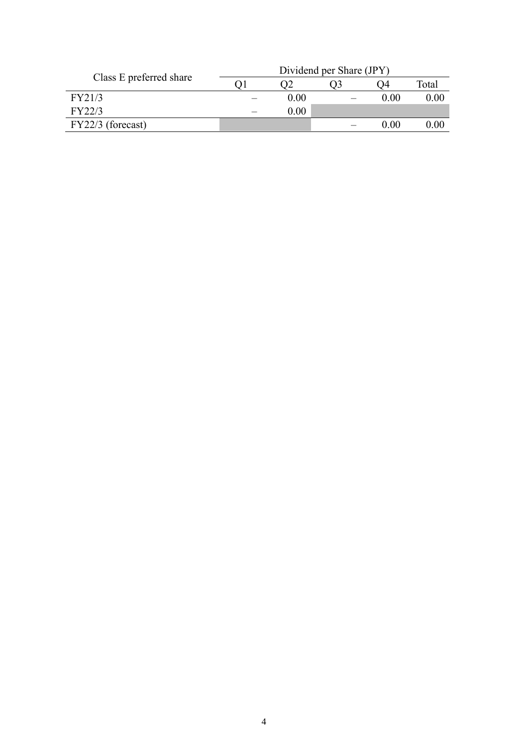|                         | Dividend per Share (JPY) |          |  |      |       |
|-------------------------|--------------------------|----------|--|------|-------|
| Class E preferred share |                          |          |  | 04   | Total |
| FY21/3                  |                          | 0.00     |  | 0.00 | 0.00  |
| FY22/3                  |                          | $0.00\,$ |  |      |       |
| $FY22/3$ (forecast)     |                          |          |  | 0.00 | 0.00  |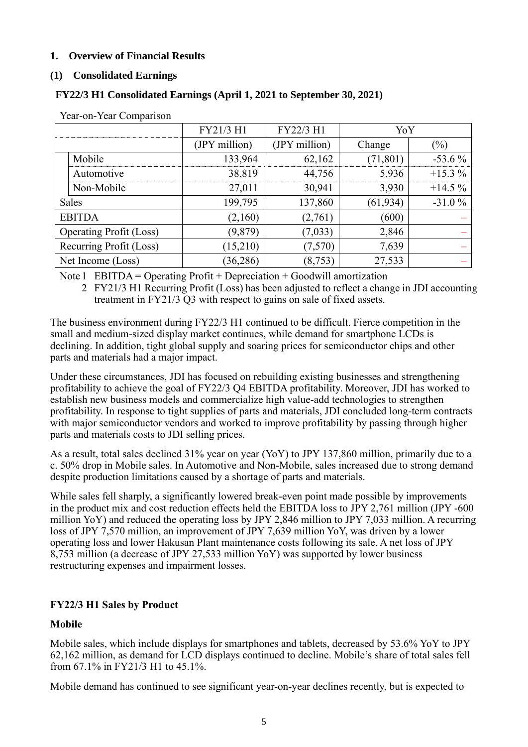## **1. Overview of Financial Results**

### **(1) Consolidated Earnings**

### **FY22/3 H1 Consolidated Earnings (April 1, 2021 to September 30, 2021)**

| л.                             | FY21/3 H1     | FY22/3 H1     | YoY       |           |
|--------------------------------|---------------|---------------|-----------|-----------|
|                                | (JPY million) | (JPY million) | Change    | $(\%)$    |
| Mobile                         | 133,964       | 62,162        | (71, 801) | $-53.6\%$ |
| Automotive                     | 38,819        | 44,756        | 5,936     | $+15.3%$  |
| Non-Mobile                     | 27,011        | 30,941        | 3,930     | $+14.5%$  |
| <b>Sales</b>                   | 199,795       | 137,860       | (61, 934) | $-31.0%$  |
| <b>EBITDA</b>                  | (2,160)       | (2,761)       | (600)     |           |
| <b>Operating Profit (Loss)</b> | (9,879)       | (7,033)       | 2,846     |           |
| Recurring Profit (Loss)        | (15,210)      | (7,570)       | 7,639     |           |
| Net Income (Loss)              | (36, 286)     | (8, 753)      | 27,533    |           |

Year-on-Year Comparison

Note 1 EBITDA = Operating Profit + Depreciation + Goodwill amortization

2 FY21/3 H1 Recurring Profit (Loss) has been adjusted to reflect a change in JDI accounting treatment in FY21/3 Q3 with respect to gains on sale of fixed assets.

The business environment during FY22/3 H1 continued to be difficult. Fierce competition in the small and medium-sized display market continues, while demand for smartphone LCDs is declining. In addition, tight global supply and soaring prices for semiconductor chips and other parts and materials had a major impact.

Under these circumstances, JDI has focused on rebuilding existing businesses and strengthening profitability to achieve the goal of FY22/3 Q4 EBITDA profitability. Moreover, JDI has worked to establish new business models and commercialize high value-add technologies to strengthen profitability. In response to tight supplies of parts and materials, JDI concluded long-term contracts with major semiconductor vendors and worked to improve profitability by passing through higher parts and materials costs to JDI selling prices.

As a result, total sales declined 31% year on year (YoY) to JPY 137,860 million, primarily due to a c. 50% drop in Mobile sales. In Automotive and Non-Mobile, sales increased due to strong demand despite production limitations caused by a shortage of parts and materials.

While sales fell sharply, a significantly lowered break-even point made possible by improvements in the product mix and cost reduction effects held the EBITDA loss to JPY 2,761 million (JPY -600 million YoY) and reduced the operating loss by JPY 2,846 million to JPY 7,033 million. A recurring loss of JPY 7,570 million, an improvement of JPY 7,639 million YoY, was driven by a lower operating loss and lower Hakusan Plant maintenance costs following its sale. A net loss of JPY 8,753 million (a decrease of JPY 27,533 million YoY) was supported by lower business restructuring expenses and impairment losses.

# **FY22/3 H1 Sales by Product**

## **Mobile**

Mobile sales, which include displays for smartphones and tablets, decreased by 53.6% YoY to JPY 62,162 million, as demand for LCD displays continued to decline. Mobile's share of total sales fell from 67.1% in FY21/3 H1 to 45.1%.

Mobile demand has continued to see significant year-on-year declines recently, but is expected to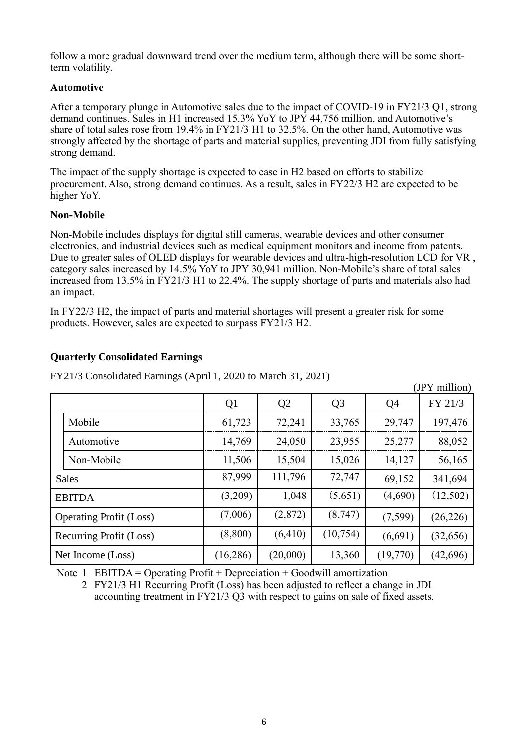follow a more gradual downward trend over the medium term, although there will be some shortterm volatility.

### **Automotive**

After a temporary plunge in Automotive sales due to the impact of COVID-19 in FY21/3 Q1, strong demand continues. Sales in H1 increased 15.3% YoY to JPY 44,756 million, and Automotive's share of total sales rose from 19.4% in FY21/3 H1 to 32.5%. On the other hand, Automotive was strongly affected by the shortage of parts and material supplies, preventing JDI from fully satisfying strong demand.

The impact of the supply shortage is expected to ease in H2 based on efforts to stabilize procurement. Also, strong demand continues. As a result, sales in FY22/3 H2 are expected to be higher YoY.

#### **Non-Mobile**

Non-Mobile includes displays for digital still cameras, wearable devices and other consumer electronics, and industrial devices such as medical equipment monitors and income from patents. Due to greater sales of OLED displays for wearable devices and ultra-high-resolution LCD for VR , category sales increased by 14.5% YoY to JPY 30,941 million. Non-Mobile's share of total sales increased from 13.5% in FY21/3 H1 to 22.4%. The supply shortage of parts and materials also had an impact.

In FY22/3 H2, the impact of parts and material shortages will present a greater risk for some products. However, sales are expected to surpass FY21/3 H2.

## **Quarterly Consolidated Earnings**

FY21/3 Consolidated Earnings (April 1, 2020 to March 31, 2021)

|                         |                                |                |                |                |                | (JPY million) |
|-------------------------|--------------------------------|----------------|----------------|----------------|----------------|---------------|
|                         |                                | Q <sub>1</sub> | Q <sub>2</sub> | Q <sub>3</sub> | Q <sub>4</sub> | FY 21/3       |
|                         | Mobile                         | 61,723         | 72,241         | 33,765         | 29,747         | 197,476       |
|                         | Automotive                     | 14,769         | 24,050         | 23,955         | 25,277         | 88,052        |
|                         | Non-Mobile                     | 11,506         | 15,504         | 15,026         | 14,127         | 56,165        |
|                         | <b>Sales</b>                   | 87,999         | 111,796        | 72,747         | 69,152         | 341,694       |
|                         | <b>EBITDA</b>                  | (3,209)        | 1,048          | (5,651)        | (4,690)        | (12,502)      |
|                         | <b>Operating Profit (Loss)</b> | (7,006)        | (2,872)        | (8,747)        | (7,599)        | (26, 226)     |
| Recurring Profit (Loss) |                                | (8,800)        | (6, 410)       | (10,754)       | (6,691)        | (32,656)      |
|                         | Net Income (Loss)              | (16,286)       | (20,000)       | 13,360         | (19,770)       | (42, 696)     |

Note 1 EBITDA = Operating Profit + Depreciation + Goodwill amortization

2 FY21/3 H1 Recurring Profit (Loss) has been adjusted to reflect a change in JDI accounting treatment in FY21/3 Q3 with respect to gains on sale of fixed assets.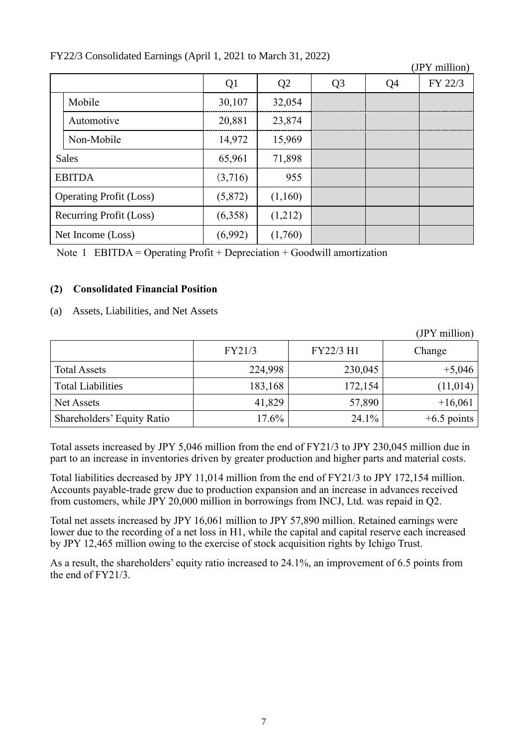|                         |                                |                |                |                |                | (JPY million) |
|-------------------------|--------------------------------|----------------|----------------|----------------|----------------|---------------|
|                         |                                | Q <sub>1</sub> | Q <sub>2</sub> | Q <sub>3</sub> | Q <sub>4</sub> | FY 22/3       |
|                         | Mobile                         | 30,107         | 32,054         |                |                |               |
|                         | Automotive                     | 20,881         | 23,874         |                |                |               |
|                         | Non-Mobile                     | 14,972         | 15,969         |                |                |               |
| <b>Sales</b>            |                                | 65,961         | 71,898         |                |                |               |
|                         | <b>EBITDA</b>                  | (3,716)        | 955            |                |                |               |
|                         | <b>Operating Profit (Loss)</b> | (5,872)        | (1,160)        |                |                |               |
| Recurring Profit (Loss) |                                | (6,358)        | (1,212)        |                |                |               |
|                         | Net Income (Loss)              | (6,992)        | (1,760)        |                |                |               |

# FY22/3 Consolidated Earnings (April 1, 2021 to March 31, 2022)

Note 1 EBITDA = Operating Profit + Depreciation + Goodwill amortization

## **(2) Consolidated Financial Position**

(a) Assets, Liabilities, and Net Assets

|                            |         |           | (JPY million) |
|----------------------------|---------|-----------|---------------|
|                            | FY21/3  | FY22/3 H1 | Change        |
| <b>Total Assets</b>        | 224,998 | 230,045   | $+5,046$      |
| <b>Total Liabilities</b>   | 183,168 | 172,154   | (11, 014)     |
| Net Assets                 | 41,829  | 57,890    | $+16,061$     |
| Shareholders' Equity Ratio | 17.6%   | 24.1%     | $+6.5$ points |

Total assets increased by JPY 5,046 million from the end of FY21/3 to JPY 230,045 million due in part to an increase in inventories driven by greater production and higher parts and material costs.

Total liabilities decreased by JPY 11,014 million from the end of FY21/3 to JPY 172,154 million. Accounts payable-trade grew due to production expansion and an increase in advances received from customers, while JPY 20,000 million in borrowings from INCJ, Ltd. was repaid in Q2.

Total net assets increased by JPY 16,061 million to JPY 57,890 million. Retained earnings were lower due to the recording of a net loss in H1, while the capital and capital reserve each increased by JPY 12,465 million owing to the exercise of stock acquisition rights by Ichigo Trust.

As a result, the shareholders' equity ratio increased to 24.1%, an improvement of 6.5 points from the end of FY21/3.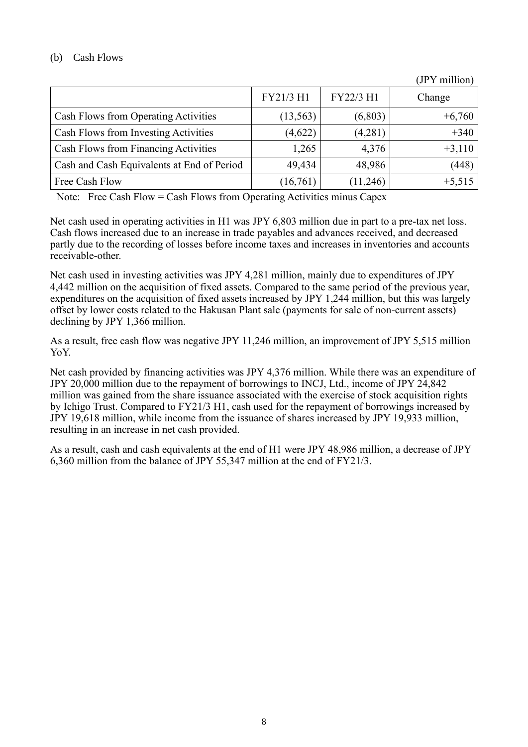## (b) Cash Flows

|                                            | FY21/3 H1 | FY22/3 H1 | Change   |
|--------------------------------------------|-----------|-----------|----------|
| Cash Flows from Operating Activities       | (13, 563) | (6,803)   | $+6,760$ |
| Cash Flows from Investing Activities       | (4,622)   | (4,281)   | $+340$   |
| Cash Flows from Financing Activities       | 1,265     | 4,376     | $+3,110$ |
| Cash and Cash Equivalents at End of Period | 49,434    | 48,986    | (448)    |
| Free Cash Flow                             | (16,761)  | (11,246)  | $+5,515$ |

(JPY million)

Note: Free Cash Flow = Cash Flows from Operating Activities minus Capex

Net cash used in operating activities in H1 was JPY 6,803 million due in part to a pre-tax net loss. Cash flows increased due to an increase in trade payables and advances received, and decreased partly due to the recording of losses before income taxes and increases in inventories and accounts receivable-other.

Net cash used in investing activities was JPY 4,281 million, mainly due to expenditures of JPY 4,442 million on the acquisition of fixed assets. Compared to the same period of the previous year, expenditures on the acquisition of fixed assets increased by JPY 1,244 million, but this was largely offset by lower costs related to the Hakusan Plant sale (payments for sale of non-current assets) declining by JPY 1,366 million.

As a result, free cash flow was negative JPY 11,246 million, an improvement of JPY 5,515 million YoY.

Net cash provided by financing activities was JPY 4,376 million. While there was an expenditure of JPY 20,000 million due to the repayment of borrowings to INCJ, Ltd., income of JPY 24,842 million was gained from the share issuance associated with the exercise of stock acquisition rights by Ichigo Trust. Compared to FY21/3 H1, cash used for the repayment of borrowings increased by JPY 19,618 million, while income from the issuance of shares increased by JPY 19,933 million, resulting in an increase in net cash provided.

As a result, cash and cash equivalents at the end of H1 were JPY 48,986 million, a decrease of JPY 6,360 million from the balance of JPY 55,347 million at the end of FY21/3.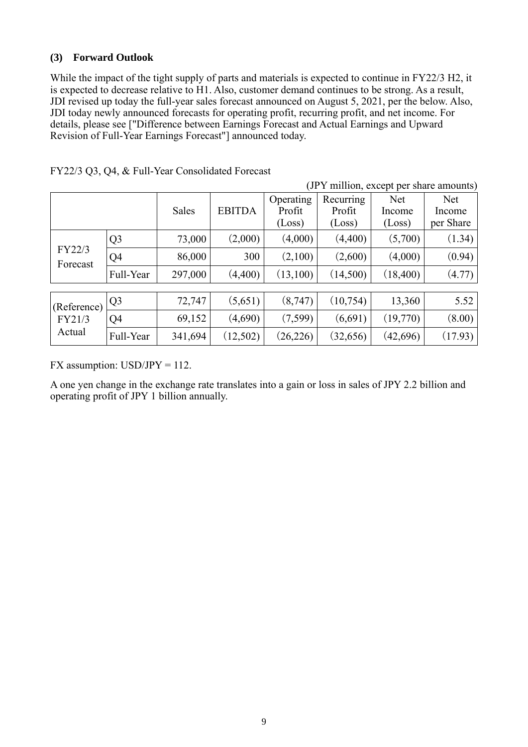### **(3) Forward Outlook**

While the impact of the tight supply of parts and materials is expected to continue in FY22/3 H2, it is expected to decrease relative to H1. Also, customer demand continues to be strong. As a result, JDI revised up today the full-year sales forecast announced on August 5, 2021, per the below. Also, JDI today newly announced forecasts for operating profit, recurring profit, and net income. For details, please see ["Difference between Earnings Forecast and Actual Earnings and Upward Revision of Full-Year Earnings Forecast"] announced today.

| (JPY million, except per share amounts) |                |         |               |           |           |           |            |
|-----------------------------------------|----------------|---------|---------------|-----------|-----------|-----------|------------|
|                                         |                |         |               | Operating | Recurring | Net       | <b>Net</b> |
|                                         |                | Sales   | <b>EBITDA</b> | Profit    | Profit    | Income    | Income     |
|                                         |                |         |               | (Loss)    | (Loss)    | (Loss)    | per Share  |
|                                         | Q <sub>3</sub> | 73,000  | (2,000)       | (4,000)   | (4,400)   | (5,700)   | (1.34)     |
| FY22/3<br>Forecast                      | Q4             | 86,000  | 300           | (2,100)   | (2,600)   | (4,000)   | (0.94)     |
|                                         | Full-Year      | 297,000 | (4,400)       | (13,100)  | (14,500)  | (18, 400) | (4.77)     |
|                                         |                |         |               |           |           |           |            |
| (Reference)                             | Q <sub>3</sub> | 72,747  | (5,651)       | (8,747)   | (10,754)  | 13,360    | 5.52       |
| FY21/3                                  | Q <sub>4</sub> | 69,152  | (4,690)       | (7,599)   | (6,691)   | (19,770)  | (8.00)     |
| Actual                                  | Full-Year      | 341,694 | (12,502)      | (26, 226) | (32, 656) | (42,696)  | (17.93)    |

FX assumption:  $USD/JPY = 112$ .

A one yen change in the exchange rate translates into a gain or loss in sales of JPY 2.2 billion and operating profit of JPY 1 billion annually.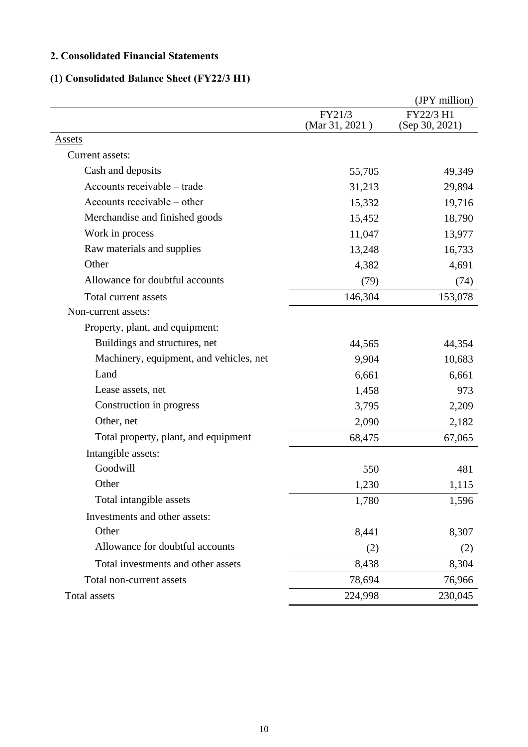# **2. Consolidated Financial Statements**

# **(1) Consolidated Balance Sheet (FY22/3 H1)**

|                                         |                          | (JPY million)               |
|-----------------------------------------|--------------------------|-----------------------------|
|                                         | FY21/3<br>(Mar 31, 2021) | FY22/3 H1<br>(Sep 30, 2021) |
| <b>Assets</b>                           |                          |                             |
| Current assets:                         |                          |                             |
| Cash and deposits                       | 55,705                   | 49,349                      |
| Accounts receivable – trade             | 31,213                   | 29,894                      |
| Accounts receivable – other             | 15,332                   | 19,716                      |
| Merchandise and finished goods          | 15,452                   | 18,790                      |
| Work in process                         | 11,047                   | 13,977                      |
| Raw materials and supplies              | 13,248                   | 16,733                      |
| Other                                   | 4,382                    | 4,691                       |
| Allowance for doubtful accounts         | (79)                     | (74)                        |
| Total current assets                    | 146,304                  | 153,078                     |
| Non-current assets:                     |                          |                             |
| Property, plant, and equipment:         |                          |                             |
| Buildings and structures, net           | 44,565                   | 44,354                      |
| Machinery, equipment, and vehicles, net | 9,904                    | 10,683                      |
| Land                                    | 6,661                    | 6,661                       |
| Lease assets, net                       | 1,458                    | 973                         |
| Construction in progress                | 3,795                    | 2,209                       |
| Other, net                              | 2,090                    | 2,182                       |
| Total property, plant, and equipment    | 68,475                   | 67,065                      |
| Intangible assets:                      |                          |                             |
| Goodwill                                | 550                      | 481                         |
| Other                                   | 1,230                    | 1,115                       |
| Total intangible assets                 | 1,780                    | 1,596                       |
| Investments and other assets:           |                          |                             |
| Other                                   | 8,441                    | 8,307                       |
| Allowance for doubtful accounts         | (2)                      | (2)                         |
| Total investments and other assets      | 8,438                    | 8,304                       |
| Total non-current assets                | 78,694                   | 76,966                      |
| Total assets                            | 224,998                  | 230,045                     |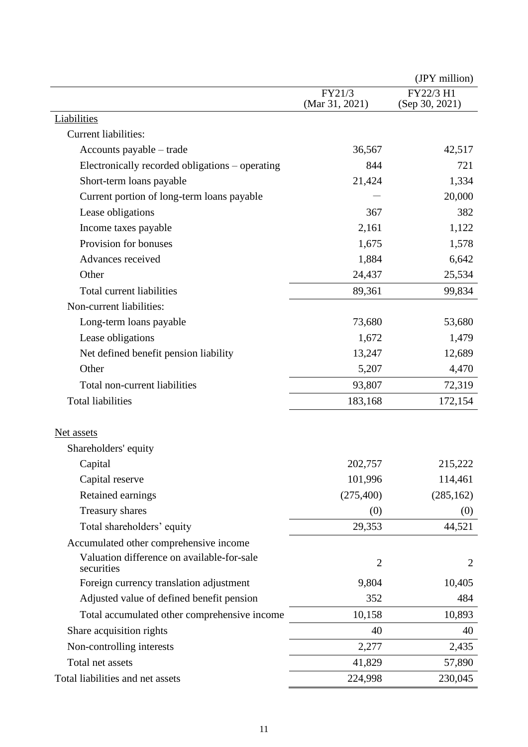|                                                 |                | (JPY million)  |
|-------------------------------------------------|----------------|----------------|
|                                                 | FY21/3         | FY22/3 H1      |
| Liabilities                                     | (Mar 31, 2021) | (Sep 30, 2021) |
| Current liabilities:                            |                |                |
| Accounts payable – trade                        | 36,567         | 42,517         |
|                                                 | 844            | 721            |
| Electronically recorded obligations – operating |                |                |
| Short-term loans payable                        | 21,424         | 1,334          |
| Current portion of long-term loans payable      |                | 20,000         |
| Lease obligations                               | 367            | 382            |
| Income taxes payable                            | 2,161          | 1,122          |
| Provision for bonuses                           | 1,675          | 1,578          |
| Advances received                               | 1,884          | 6,642          |
| Other                                           | 24,437         | 25,534         |
| <b>Total current liabilities</b>                | 89,361         | 99,834         |
| Non-current liabilities:                        |                |                |
| Long-term loans payable                         | 73,680         | 53,680         |
| Lease obligations                               | 1,672          | 1,479          |
| Net defined benefit pension liability           | 13,247         | 12,689         |
| Other                                           | 5,207          | 4,470          |
| Total non-current liabilities                   | 93,807         | 72,319         |
| <b>Total liabilities</b>                        | 183,168        | 172,154        |
| Net assets                                      |                |                |
| Shareholders' equity                            |                |                |
| Capital                                         | 202,757        | 215,222        |
| Capital reserve                                 | 101,996        | 114,461        |
| Retained earnings                               | (275, 400)     | (285, 162)     |
| Treasury shares                                 | (0)            | (0)            |
| Total shareholders' equity                      | 29,353         | 44,521         |
| Accumulated other comprehensive income          |                |                |
| Valuation difference on available-for-sale      |                |                |
| securities                                      | $\overline{2}$ | $\overline{2}$ |
| Foreign currency translation adjustment         | 9,804          | 10,405         |
| Adjusted value of defined benefit pension       | 352            | 484            |
| Total accumulated other comprehensive income    | 10,158         | 10,893         |
| Share acquisition rights                        | 40             | 40             |
| Non-controlling interests                       | 2,277          | 2,435          |
| Total net assets                                | 41,829         | 57,890         |
| Total liabilities and net assets                | 224,998        | 230,045        |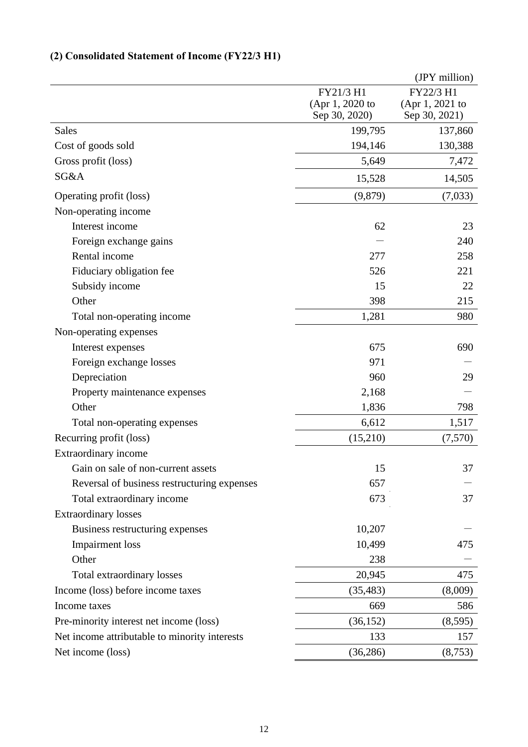# **(2) Consolidated Statement of Income (FY22/3 H1)**

|                                               |                                               | (JPY million)                                 |
|-----------------------------------------------|-----------------------------------------------|-----------------------------------------------|
|                                               | FY21/3 H1<br>(Apr 1, 2020 to<br>Sep 30, 2020) | FY22/3 H1<br>(Apr 1, 2021 to<br>Sep 30, 2021) |
| <b>Sales</b>                                  | 199,795                                       | 137,860                                       |
| Cost of goods sold                            | 194,146                                       | 130,388                                       |
| Gross profit (loss)                           | 5,649                                         | 7,472                                         |
| SG&A                                          | 15,528                                        | 14,505                                        |
| Operating profit (loss)                       | (9,879)                                       | (7,033)                                       |
| Non-operating income                          |                                               |                                               |
| Interest income                               | 62                                            | 23                                            |
| Foreign exchange gains                        |                                               | 240                                           |
| Rental income                                 | 277                                           | 258                                           |
| Fiduciary obligation fee                      | 526                                           | 221                                           |
| Subsidy income                                | 15                                            | 22                                            |
| Other                                         | 398                                           | 215                                           |
| Total non-operating income                    | 1,281                                         | 980                                           |
| Non-operating expenses                        |                                               |                                               |
| Interest expenses                             | 675                                           | 690                                           |
| Foreign exchange losses                       | 971                                           |                                               |
| Depreciation                                  | 960                                           | 29                                            |
| Property maintenance expenses                 | 2,168                                         |                                               |
| Other                                         | 1,836                                         | 798                                           |
| Total non-operating expenses                  | 6,612                                         | 1,517                                         |
| Recurring profit (loss)                       | (15,210)                                      | (7,570)                                       |
| Extraordinary income                          |                                               |                                               |
| Gain on sale of non-current assets            | 15                                            | 37                                            |
| Reversal of business restructuring expenses   | 657                                           |                                               |
| Total extraordinary income                    | 673                                           | 37                                            |
| <b>Extraordinary losses</b>                   |                                               |                                               |
| Business restructuring expenses               | 10,207                                        |                                               |
| <b>Impairment</b> loss                        | 10,499                                        | 475                                           |
| Other                                         | 238                                           |                                               |
| Total extraordinary losses                    | 20,945                                        | 475                                           |
| Income (loss) before income taxes             | (35, 483)                                     | (8,009)                                       |
| Income taxes                                  | 669                                           | 586                                           |
| Pre-minority interest net income (loss)       | (36, 152)                                     | (8,595)                                       |
| Net income attributable to minority interests | 133                                           | 157                                           |
| Net income (loss)                             | (36, 286)                                     | (8,753)                                       |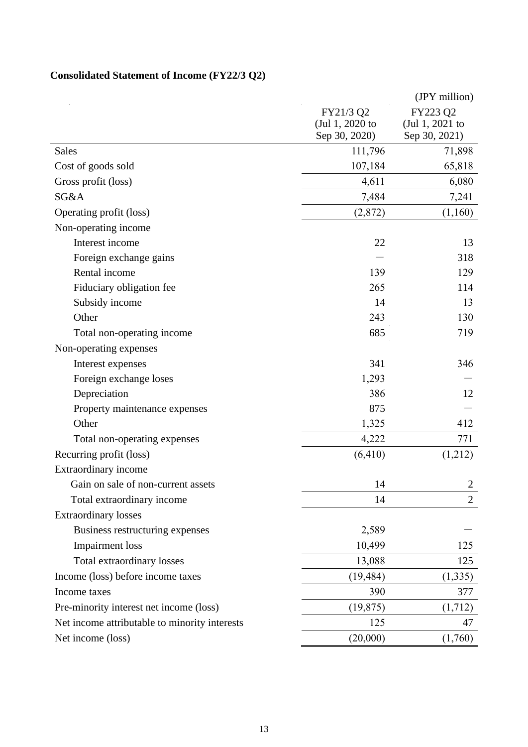# **Consolidated Statement of Income (FY22/3 Q2)**

|                                               |                 | (JPY million)   |
|-----------------------------------------------|-----------------|-----------------|
|                                               | FY21/3 Q2       | FY223 Q2        |
|                                               | (Jul 1, 2020 to | (Jul 1, 2021 to |
|                                               | Sep 30, 2020)   | Sep 30, 2021)   |
| <b>Sales</b>                                  | 111,796         | 71,898          |
| Cost of goods sold                            | 107,184         | 65,818          |
| Gross profit (loss)                           | 4,611           | 6,080           |
| SG&A                                          | 7,484           | 7,241           |
| Operating profit (loss)                       | (2,872)         | (1,160)         |
| Non-operating income                          |                 |                 |
| Interest income                               | 22              | 13              |
| Foreign exchange gains                        |                 | 318             |
| Rental income                                 | 139             | 129             |
| Fiduciary obligation fee                      | 265             | 114             |
| Subsidy income                                | 14              | 13              |
| Other                                         | 243             | 130             |
| Total non-operating income                    | 685             | 719             |
| Non-operating expenses                        |                 |                 |
| Interest expenses                             | 341             | 346             |
| Foreign exchange loses                        | 1,293           |                 |
| Depreciation                                  | 386             | 12              |
| Property maintenance expenses                 | 875             |                 |
| Other                                         | 1,325           | 412             |
| Total non-operating expenses                  | 4,222           | 771             |
| Recurring profit (loss)                       | (6, 410)        | (1,212)         |
| Extraordinary income                          |                 |                 |
| Gain on sale of non-current assets            | 14              | 2               |
| Total extraordinary income                    | 14              | $\overline{2}$  |
| <b>Extraordinary losses</b>                   |                 |                 |
| Business restructuring expenses               | 2,589           |                 |
| <b>Impairment</b> loss                        | 10,499          | 125             |
| Total extraordinary losses                    | 13,088          | 125             |
| Income (loss) before income taxes             | (19, 484)       | (1, 335)        |
| Income taxes                                  | 390             | 377             |
| Pre-minority interest net income (loss)       | (19, 875)       | (1,712)         |
| Net income attributable to minority interests | 125             | 47              |
| Net income (loss)                             | (20,000)        | (1,760)         |
|                                               |                 |                 |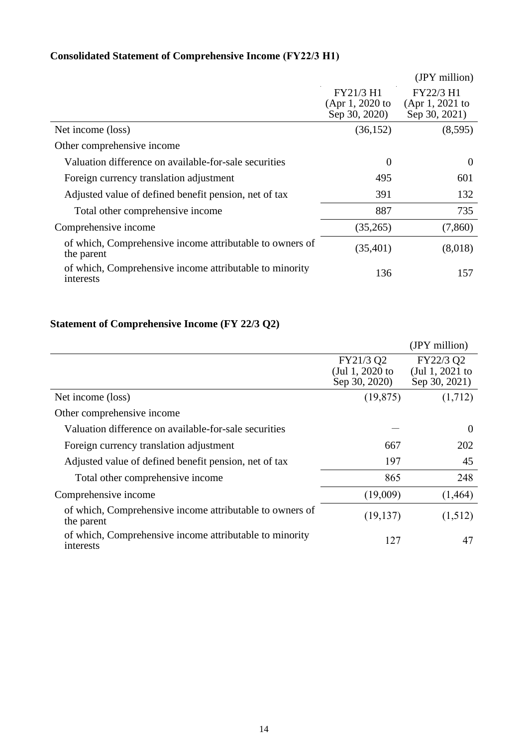|                                                                        |                                               | (JPY million)                                 |
|------------------------------------------------------------------------|-----------------------------------------------|-----------------------------------------------|
|                                                                        | FY21/3 H1<br>(Apr 1, 2020 to<br>Sep 30, 2020) | FY22/3 H1<br>(Apr 1, 2021 to<br>Sep 30, 2021) |
| Net income (loss)                                                      | (36, 152)                                     | (8,595)                                       |
| Other comprehensive income                                             |                                               |                                               |
| Valuation difference on available-for-sale securities                  | $\theta$                                      | $\theta$                                      |
| Foreign currency translation adjustment                                | 495                                           | 601                                           |
| Adjusted value of defined benefit pension, net of tax                  | 391                                           | 132                                           |
| Total other comprehensive income                                       | 887                                           | 735                                           |
| Comprehensive income                                                   | (35,265)                                      | (7,860)                                       |
| of which, Comprehensive income attributable to owners of<br>the parent | (35, 401)                                     | (8,018)                                       |
| of which, Comprehensive income attributable to minority<br>interests   | 136                                           | 157                                           |

# **Consolidated Statement of Comprehensive Income (FY22/3 H1)**

# **Statement of Comprehensive Income (FY 22/3 Q2)**

|                                                                        |                              | (JPY million)                |
|------------------------------------------------------------------------|------------------------------|------------------------------|
|                                                                        | FY21/3 Q2<br>(Jul 1, 2020 to | FY22/3 Q2<br>(Jul 1, 2021 to |
|                                                                        | Sep 30, 2020)                | Sep 30, 2021)                |
| Net income (loss)                                                      | (19, 875)                    | (1,712)                      |
| Other comprehensive income                                             |                              |                              |
| Valuation difference on available-for-sale securities                  |                              | $\theta$                     |
| Foreign currency translation adjustment                                | 667                          | 202                          |
| Adjusted value of defined benefit pension, net of tax                  | 197                          | 45                           |
| Total other comprehensive income                                       | 865                          | 248                          |
| Comprehensive income                                                   | (19,009)                     | (1,464)                      |
| of which, Comprehensive income attributable to owners of<br>the parent | (19, 137)                    | (1,512)                      |
| of which, Comprehensive income attributable to minority<br>interests   | 127                          | 47                           |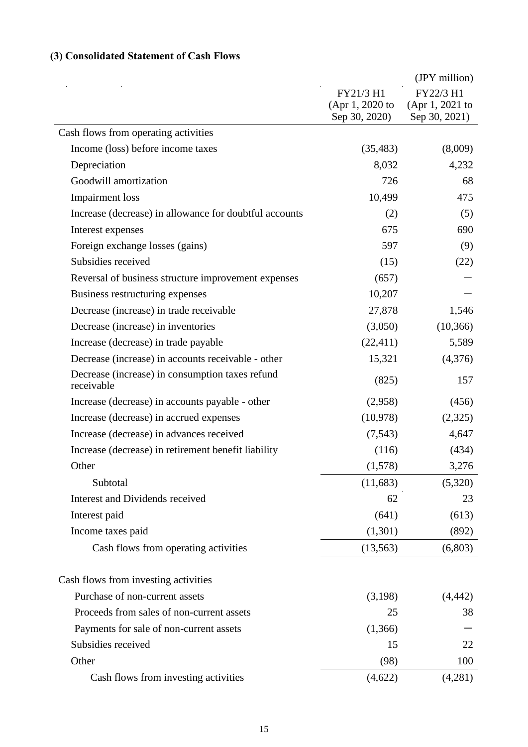# **(3) Consolidated Statement of Cash Flows**

|                                                               |                 | (JPY million)   |
|---------------------------------------------------------------|-----------------|-----------------|
|                                                               | FY21/3 H1       | FY22/3 H1       |
|                                                               | (Apr 1, 2020 to | (Apr 1, 2021 to |
|                                                               | Sep 30, 2020)   | Sep 30, 2021)   |
| Cash flows from operating activities                          |                 |                 |
| Income (loss) before income taxes                             | (35, 483)       | (8,009)         |
| Depreciation                                                  | 8,032           | 4,232           |
| Goodwill amortization                                         | 726             | 68              |
| <b>Impairment</b> loss                                        | 10,499          | 475             |
| Increase (decrease) in allowance for doubtful accounts        | (2)             | (5)             |
| Interest expenses                                             | 675             | 690             |
| Foreign exchange losses (gains)                               | 597             | (9)             |
| Subsidies received                                            | (15)            | (22)            |
| Reversal of business structure improvement expenses           | (657)           |                 |
| Business restructuring expenses                               | 10,207          |                 |
| Decrease (increase) in trade receivable                       | 27,878          | 1,546           |
| Decrease (increase) in inventories                            | (3,050)         | (10, 366)       |
| Increase (decrease) in trade payable                          | (22, 411)       | 5,589           |
| Decrease (increase) in accounts receivable - other            | 15,321          | (4,376)         |
| Decrease (increase) in consumption taxes refund<br>receivable | (825)           | 157             |
| Increase (decrease) in accounts payable - other               | (2,958)         | (456)           |
| Increase (decrease) in accrued expenses                       | (10,978)        | (2,325)         |
| Increase (decrease) in advances received                      | (7, 543)        | 4,647           |
| Increase (decrease) in retirement benefit liability           | (116)           | (434)           |
| Other                                                         | (1,578)         | 3,276           |
| Subtotal                                                      | (11, 683)       | (5,320)         |
| Interest and Dividends received                               | 62              | 23              |
| Interest paid                                                 | (641)           | (613)           |
| Income taxes paid                                             | (1,301)         | (892)           |
| Cash flows from operating activities                          | (13, 563)       | (6,803)         |
| Cash flows from investing activities                          |                 |                 |
| Purchase of non-current assets                                | (3,198)         | (4, 442)        |
| Proceeds from sales of non-current assets                     | 25              | 38              |
| Payments for sale of non-current assets                       | (1,366)         |                 |
| Subsidies received                                            | 15              | 22              |
| Other                                                         | (98)            | 100             |
| Cash flows from investing activities                          | (4,622)         | (4,281)         |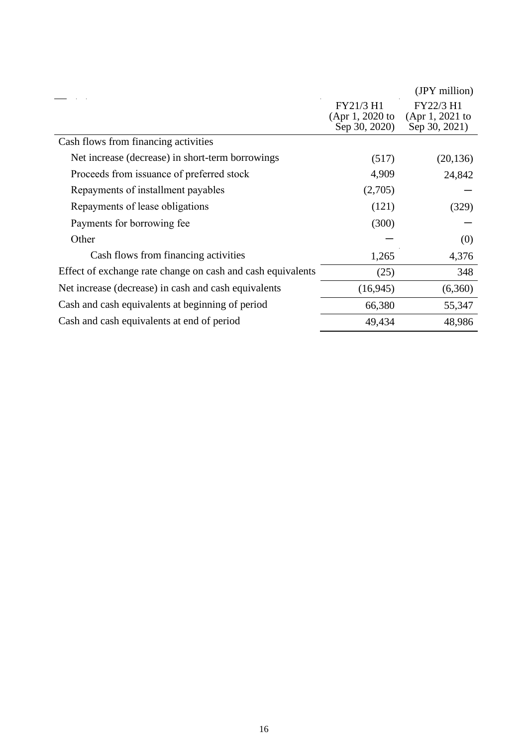|                                                             |                 | (JPY million)      |
|-------------------------------------------------------------|-----------------|--------------------|
|                                                             | FY21/3 H1       | FY22/3 H1          |
|                                                             | (Apr 1, 2020 to | $(Apr 1, 2021)$ to |
|                                                             | Sep 30, 2020)   | Sep 30, 2021)      |
| Cash flows from financing activities                        |                 |                    |
| Net increase (decrease) in short-term borrowings            | (517)           | (20, 136)          |
| Proceeds from issuance of preferred stock                   | 4,909           | 24,842             |
| Repayments of installment payables                          | (2,705)         |                    |
| Repayments of lease obligations                             | (121)           | (329)              |
| Payments for borrowing fee.                                 | (300)           |                    |
| Other                                                       |                 | (0)                |
| Cash flows from financing activities                        | 1,265           | 4,376              |
| Effect of exchange rate change on cash and cash equivalents | (25)            | 348                |
| Net increase (decrease) in cash and cash equivalents        | (16, 945)       | (6,360)            |
| Cash and cash equivalents at beginning of period            | 66,380          | 55,347             |
| Cash and cash equivalents at end of period                  | 49,434          | 48,986             |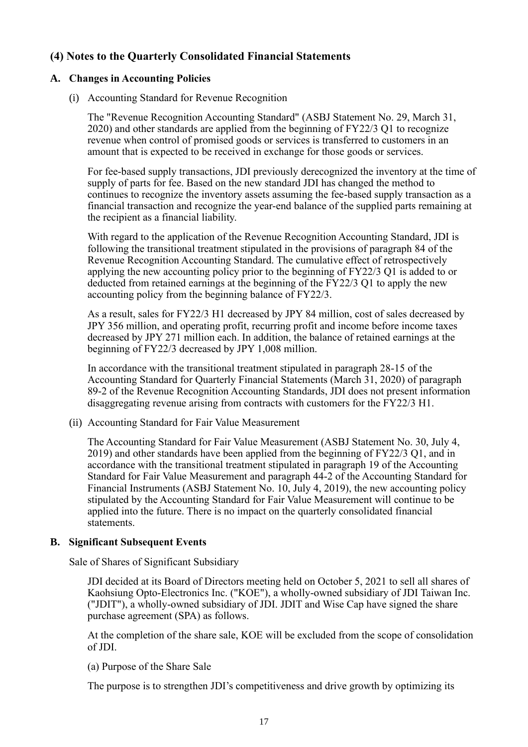# **(4) Notes to the Quarterly Consolidated Financial Statements**

#### **A. Changes in Accounting Policies**

(i) Accounting Standard for Revenue Recognition

The "Revenue Recognition Accounting Standard" (ASBJ Statement No. 29, March 31, 2020) and other standards are applied from the beginning of FY22/3 Q1 to recognize revenue when control of promised goods or services is transferred to customers in an amount that is expected to be received in exchange for those goods or services.

For fee-based supply transactions, JDI previously derecognized the inventory at the time of supply of parts for fee. Based on the new standard JDI has changed the method to continues to recognize the inventory assets assuming the fee-based supply transaction as a financial transaction and recognize the year-end balance of the supplied parts remaining at the recipient as a financial liability.

With regard to the application of the Revenue Recognition Accounting Standard, JDI is following the transitional treatment stipulated in the provisions of paragraph 84 of the Revenue Recognition Accounting Standard. The cumulative effect of retrospectively applying the new accounting policy prior to the beginning of FY22/3 Q1 is added to or deducted from retained earnings at the beginning of the FY22/3 Q1 to apply the new accounting policy from the beginning balance of FY22/3.

As a result, sales for FY22/3 H1 decreased by JPY 84 million, cost of sales decreased by JPY 356 million, and operating profit, recurring profit and income before income taxes decreased by JPY 271 million each. In addition, the balance of retained earnings at the beginning of FY22/3 decreased by JPY 1,008 million.

In accordance with the transitional treatment stipulated in paragraph 28-15 of the Accounting Standard for Quarterly Financial Statements (March 31, 2020) of paragraph 89-2 of the Revenue Recognition Accounting Standards, JDI does not present information disaggregating revenue arising from contracts with customers for the FY22/3 H1.

(ii) Accounting Standard for Fair Value Measurement

The Accounting Standard for Fair Value Measurement (ASBJ Statement No. 30, July 4, 2019) and other standards have been applied from the beginning of FY22/3 Q1, and in accordance with the transitional treatment stipulated in paragraph 19 of the Accounting Standard for Fair Value Measurement and paragraph 44-2 of the Accounting Standard for Financial Instruments (ASBJ Statement No. 10, July 4, 2019), the new accounting policy stipulated by the Accounting Standard for Fair Value Measurement will continue to be applied into the future. There is no impact on the quarterly consolidated financial statements.

#### **B. Significant Subsequent Events**

Sale of Shares of Significant Subsidiary

JDI decided at its Board of Directors meeting held on October 5, 2021 to sell all shares of Kaohsiung Opto-Electronics Inc. ("KOE"), a wholly-owned subsidiary of JDI Taiwan Inc. ("JDIT"), a wholly-owned subsidiary of JDI. JDIT and Wise Cap have signed the share purchase agreement (SPA) as follows.

At the completion of the share sale, KOE will be excluded from the scope of consolidation of JDI.

(a) Purpose of the Share Sale

The purpose is to strengthen JDI's competitiveness and drive growth by optimizing its